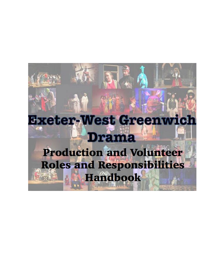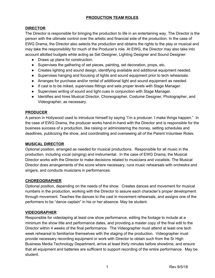### **PRODUCTION TEAM ROLES**

# **DIRECTOR**

The Director is responsible for bringing the production to life in an entertaining way. The Director is the person with the ultimate control over the artistic and financial side of the production. In the case of EWG Drama, the Director also selects the production and obtains the rights to the play or musical and may take the responsibility for much of the Producer's role. At EWG, the Director may also take into account allotted budgets while acting as Set Designer, Lighting Designer and Sound Designer:

- Draws up plans for construction.
- Supervises the gathering of set pieces, painting, set decoration, props, etc.
- Creates lighting and sound design, identifying available and additional equipment needed.
- Supervises hanging and focusing of lights and sound equipment prior to tech rehearsals.
- Arranges for purchase and/or rental of additional light and sound equipment as needed.
- If cast is to be miked, supervises fittings and sets proper levels with Stage Manager.
- Supervises writing of sound and light cues in conjunction with Stage Manager.
- Identifies and hires Musical Director, Choreographer, Costume Designer, Photographer, and Videographer, as necessary.

# **PRODUCER**

A person in Hollywood used to introduce himself by saying "I'm a producer. I make things happen." In the case of EWG Drama, the producer works hand-in-hand with the Director and is responsible for the business success of a production, like raising or administering the money, setting schedules and deadlines, publicizing the show, and coordinating and overseeing all of the Parent Volunteer Roles.

#### **MUSICAL DIRECTOR**

Optional position, arranged as needed for musical productions. Responsible for all music in the production, including vocal (singing) and instrumental. In the case of EWG Drama, the Musical Director works with the Director to make decisions related to musicians and vocalists. The Musical Director does arrangements of the score where necessary, runs music rehearsals with orchestra and singers, and conducts musicians in performances.

#### **CHOREOGRAPHER**

Optional position, depending on the needs of the show. Creates dances and movement for musical numbers in the production, working with the Director to assure each character's proper development through movement. Teaches the dances to the cast in movement rehearsals, and assigns one of the performers to be "dance captain" in his or her absence. May be student.

# **VIDEOGRAPHER**

Responsible for videotaping at least one show performance, editing the footage to include at a minimum the show title and performance dates, and providing a master copy of the final edit to the Director within 4 weeks of the final performance. The Videographer must attend at least one tech week rehearsal to familiarize themselves with the staging of the production. Videographer must provide necessary recording equipment or work with Director to obtain such from the Sr High Business Media Technology Department, arrive at least thirty minutes before showtime, and ensure that all equipment and batteries are sufficient to support recording of the entire performance. May be student.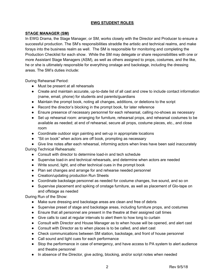### **EWG STUDENT ROLES**

### **STAGE MANAGER (SM)**

In EWG Drama, the Stage Manager, or SM, works closely with the Director and Producer to ensure a successful production. The SM's responsibilities straddle the artistic and technical realms, and make forays into the business realm as well. The SM is responsible for monitoring and completing the Production Checklist for each show. While the SM may delegate or share responsibilities with one or more Assistant Stage Managers (ASM), as well as others assigned to props, costumes, and the like, he or she is ultimately responsible for everything onstage and backstage, including the dressing areas. The SM's duties include:

During Rehearsal Period:

- Must be present at all rehearsals
- Create and maintain accurate, up-to-date list of all cast and crew to include contact information (name, email, phone) for students and parents/guardians
- Maintain the prompt book, noting all changes, additions, or deletions to the script
- Record the director's blocking in the prompt book, for later reference
- Ensure presence of necessary personnel for each rehearsal, calling no-shows as necessary
- Set up rehearsal room: arranging for furniture, rehearsal props, and rehearsal costumes to be available as needed; at end of rehearsal, secure all props, costume pieces, etc., and close room
- Coordinate outdoor sign painting and set-up in appropriate locations
- "Sit on book" when actors are off book, prompting as necessary
- Give line notes after each rehearsal, informing actors when lines have been said inaccurately

During Technical Rehearsals:

- Consult with director to determine load-in and tech schedule
- Supervise load-in and technical rehearsals, and determine when actors are needed
- Write sound, light, and other technical cues in the prompt book
- Plan set changes and arrange for and rehearse needed personnel
- Creation/updating production Run Sheets
- Coordinate backstage personnel as needed for costume changes, live sound, and so on
- Supervise placement and spiking of onstage furniture, as well as placement of Glo-tape on and offstage as needed

During Run of the Show:

- Make sure dressing and backstage areas are clean and free of debris
- Supervise preset of stage and backstage areas, including furniture props, and costumes
- Ensure that all personnel are present in the theatre at their assigned call times
- Give calls to cast at regular intervals to alert them to how long to curtain
- Consult with Director and House Manager as to when house will be opened, and alert cast
- Consult with Director as to when places is to be called, and alert cast
- Check communications between SM station, backstage, and front of house personnel
- Call sound and light cues for each performance
- Stop the performance in case of emergency, and have access to PA system to alert audience and theatre personnel
- In absence of the Director, give acting, blocking, and/or script notes when needed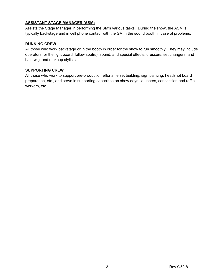# **ASSISTANT STAGE MANAGER (ASM)**

Assists the Stage Manager in performing the SM's various tasks. During the show, the ASM is typically backstage and in cell phone contact with the SM in the sound booth in case of problems.

#### **RUNNING CREW**

All those who work backstage or in the booth in order for the show to run smoothly. They may include operators for the light board, follow spot(s), sound, and special effects; dressers; set changers; and hair, wig, and makeup stylists.

# **SUPPORTING CREW**

All those who work to support pre-production efforts, ie set building, sign painting, headshot board preparation, etc., and serve in supporting capacities on show days, ie ushers, concession and raffle workers, etc.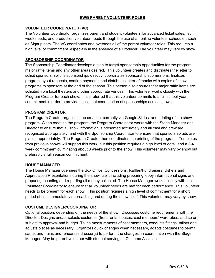#### **EWG PARENT VOLUNTEER ROLES**

### **VOLUNTEER COORDINATOR (VC)**

The Volunteer Coordinator organizes parent and student volunteers for advanced ticket sales, tech week needs, and production volunteer needs through the use of an online volunteer scheduler, such as Signup.com The VC coordinates and oversees all of the parent volunteer roles. This requires a high level of commitment. especially in the absence of a Producer. The volunteer may vary by show.

### **SPONSORSHIP COORDINATOR**

The Sponsorship Coordinator develops a plan to target sponsorship opportunities for the program, major raffle items and any other areas desired. This volunteer creates and distributes the letter to solicit sponsors, solicits sponsorships directly, coordinates sponsorship submissions, finalizes program layout requests, confirm payments and distributes letter of thanks with copies of show programs to sponsors at the end of the season. This person also ensures that major raffle items are solicited from local theaters and other appropriate venues. This volunteer works closely with the Program Creator for each show. It is preferred that this volunteer commits to a full school-year commitment in order to provide consistent coordination of sponsorships across shows.

#### **PROGRAM CREATOR**

The Program Creator organizes the creation, currently via Google Slides, and printing of the show program. When creating the program, the Program Coordinator works with the Stage Manager and Director to ensure that all show information is presented accurately and all cast and crew are recognized appropriately, and with the Sponsorship Coordinator to ensure that sponsorship ads are placed appropriately. The Program Creator then coordinates the printing of the program. Templates from previous shows will support this work, but this position requires a high level of detail and a 3-4 week commitment culminating about 3 weeks prior to the show. This volunteer may vary by show but preferably a full season commitment.

#### **HOUSE MANAGER**

The House Manager oversees the Box Office, Concessions, Raffles/Fundraisers, Ushers and Appreciation Presentations during the show itself, including preparing lobby informational signs and preparing, counting and reporting all money collected. The House Manager works closely with the Volunteer Coordinator to ensure that all volunteer needs are met for each performance. This volunteer needs to be present for each show. This position requires a high level of commitment for a short period of time immediately approaching and during the show itself. This volunteer may vary by show.

#### **COSTUME DESIGNER/COORDINATOR**

Optional position, depending on the needs of the show. Discusses costume requirements with the Director. Designs and/or selects costumes (from rental houses, cast members' wardrobes, and so on) subject to approval and budget. Takes measurements of cast members, conducts fittings, tailors and adjusts pieces as necessary. Organizes quick changes when necessary, adapts costumes to permit same, and trains and rehearses dresser(s) to perform the changes, in coordination with the Stage Manager. May be parent volunteer with student serving as Costume Assistant.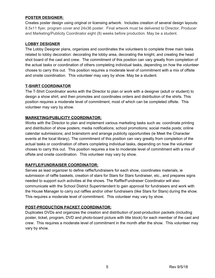#### **POSTER DESIGNER:**

Creates poster design using original or licensing artwork. Includes creation of several design layouts: 8.5x11 flyer, program cover and 24x36 poster. Final artwork must be delivered to Director, Producer and Marketing/Publicity Coordinator eight (8) weeks before production. May be a student.

### **LOBBY DESIGNER**

The Lobby Designer plans, organizes and coordinates the volunteers to complete three main tasks related to lobby decoration: decorating the lobby area, decorating the knight, and creating the head shot board of the cast and crew. The commitment of this position can vary greatly from completion of the actual tasks or coordination of others completing individual tasks, depending on how the volunteer choses to carry this out. This position requires a moderate level of commitment with a mix of offsite and onsite coordination. This volunteer may vary by show. May be a student.

# **T-SHIRT COORDINATOR**

The T-Shirt Coordinator works with the Director to plan or work with a designer (adult or student) to design a show shirt, and then promotes and coordinates orders and distribution of the shirts. This position requires a moderate level of commitment, most of which can be completed offsite. This volunteer may vary by show.

# **MARKETING/PUBLICITY COORDINATOR:**

Works with the Director to plan and implement various marketing tasks such as: coordinate printing and distribution of show posters; media notifications; school promotions; social media posts; online calendar submissions; and brainstorm and arrange publicity opportunities (ie Meet the Character events at the local library). The commitment of this position can vary greatly from completion of the actual tasks or coordination of others completing individual tasks, depending on how the volunteer choses to carry this out. This position requires a low to moderate level of commitment with a mix of offsite and onsite coordination. This volunteer may vary by show.

# **RAFFLE/FUNDRAISER COORDINATOR:**

Serves as lead organizer to define raffle/fundraisers for each show, coordinates materials, ie submission of raffle baskets, creation of stars for Stars for Stars fundraiser, etc., and prepares signs needed to support such activities at the shows. The Raffle/Fundraiser Coordinator will also communicate with the School District Superintendent to gain approval for fundraisers and work with the House Manager to carry out raffles and/or other fundraisers (like Stars for Stars) during the show. This requires a moderate level of commitment. This volunteer may vary by show.

#### **POST-PRODUCTION PACKET COORDINATOR:**

Duplicates DVDs and organizes the creation and distribution of post-production packets (including poster, ticket, program, DVD and photo-board picture with title block) for each member of the cast and crew. This requires a moderate level of commitment in the month after the show. This volunteer may vary by show.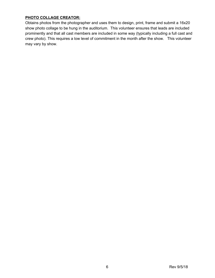# **PHOTO COLLAGE CREATOR:**

Obtains photos from the photographer and uses them to design, print, frame and submit a 16x20 show photo collage to be hung in the auditorium. This volunteer ensures that leads are included prominently and that all cast members are included in some way (typically including a full cast and crew photo). This requires a low level of commitment in the month after the show. This volunteer may vary by show.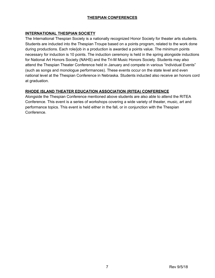## **THESPIAN CONFERENCES**

# **INTERNATIONAL THESPIAN SOCIETY**

The International Thespian Society is a nationally recognized Honor Society for theater arts students. Students are inducted into the Thespian Troupe based on a points program, related to the work done during productions. Each role/job in a production is awarded a points value. The minimum points necessary for induction is 10 points. The induction ceremony is held in the spring alongside inductions for National Art Honors Society (NAHS) and the Tri-M Music Honors Society. Students may also attend the Thespian Theater Conference held in January and compete in various "Individual Events" (such as songs and monologue performances). These events occur on the state level and even national level at the Thespian Conference in Nebraska. Students inducted also receive an honors cord at graduation.

# **RHODE ISLAND THEATER EDUCATION ASSOCIATION (RITEA) CONFERENCE**

Alongside the Thespian Conference mentioned above students are also able to attend the RITEA Conference. This event is a series of workshops covering a wide variety of theater, music, art and performance topics. This event is held either in the fall, or in conjunction with the Thespian Conference.